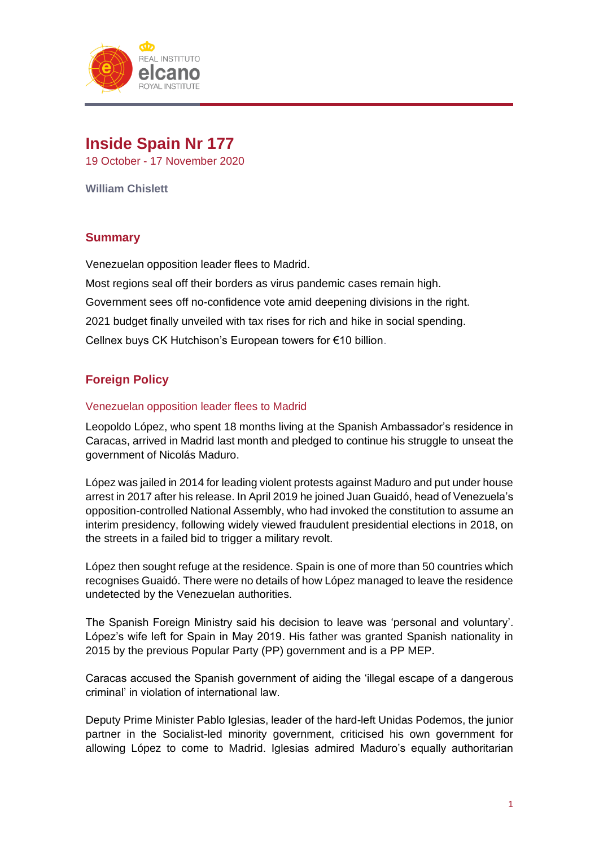

# **Inside Spain Nr 177** 19 October - 17 November 2020

**William Chislett**

# **Summary**

Venezuelan opposition leader flees to Madrid.

Most regions seal off their borders as virus pandemic cases remain high. Government sees off no-confidence vote amid deepening divisions in the right. 2021 budget finally unveiled with tax rises for rich and hike in social spending. Cellnex buys CK Hutchison's European towers for €10 billion.

# **Foreign Policy**

# Venezuelan opposition leader flees to Madrid

Leopoldo López, who spent 18 months living at the Spanish Ambassador's residence in Caracas, arrived in Madrid last month and pledged to continue his struggle to unseat the government of Nicolás Maduro.

López was jailed in 2014 for leading violent protests against Maduro and put under house arrest in 2017 after his release. In April 2019 he joined Juan Guaidó, head of Venezuela's opposition-controlled National Assembly, who had invoked the constitution to assume an interim presidency, following widely viewed fraudulent presidential elections in 2018, on the streets in a failed bid to trigger a military revolt.

López then sought refuge at the residence. Spain is one of more than 50 countries which recognises Guaidó. There were no details of how López managed to leave the residence undetected by the Venezuelan authorities.

The Spanish Foreign Ministry said his decision to leave was 'personal and voluntary'. López's wife left for Spain in May 2019. His father was granted Spanish nationality in 2015 by the previous Popular Party (PP) government and is a PP MEP.

Caracas accused the Spanish government of aiding the 'illegal escape of a dangerous criminal' in violation of international law.

Deputy Prime Minister Pablo Iglesias, leader of the hard-left Unidas Podemos, the junior partner in the Socialist-led minority government, criticised his own government for allowing López to come to Madrid. Iglesias admired Maduro's equally authoritarian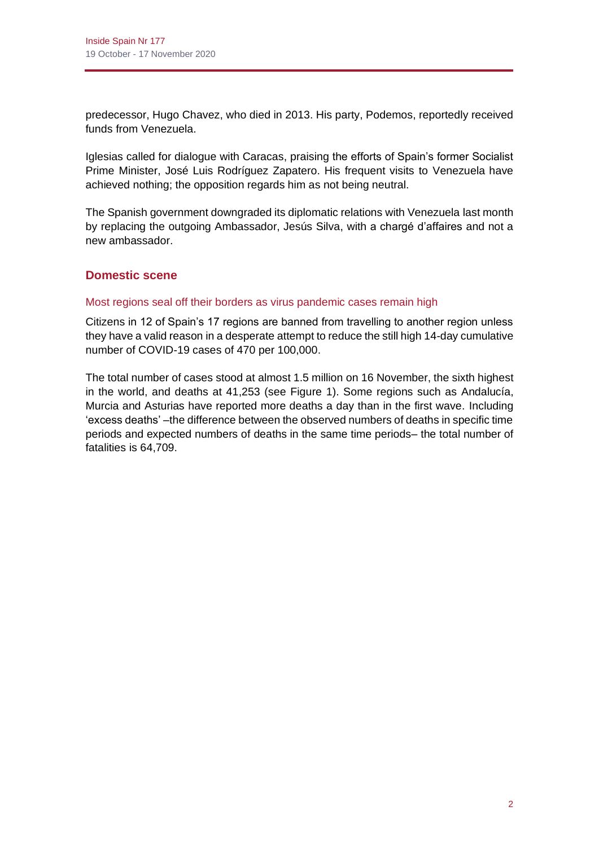predecessor, Hugo Chavez, who died in 2013. His party, Podemos, reportedly received funds from Venezuela.

Iglesias called for dialogue with Caracas, praising the efforts of Spain's former Socialist Prime Minister, José Luis Rodríguez Zapatero. His frequent visits to Venezuela have achieved nothing; the opposition regards him as not being neutral.

The Spanish government downgraded its diplomatic relations with Venezuela last month by replacing the outgoing Ambassador, Jesús Silva, with a chargé d'affaires and not a new ambassador.

# **Domestic scene**

# Most regions seal off their borders as virus pandemic cases remain high

Citizens in 12 of Spain's 17 regions are banned from travelling to another region unless they have a valid reason in a desperate attempt to reduce the still high 14-day cumulative number of COVID-19 cases of 470 per 100,000.

The total number of cases stood at almost 1.5 million on 16 November, the sixth highest in the world, and deaths at 41,253 (see Figure 1). Some regions such as Andalucía, Murcia and Asturias have reported more deaths a day than in the first wave. Including 'excess deaths' –the difference between the observed numbers of deaths in specific time periods and expected numbers of deaths in the same time periods– the total number of fatalities is 64,709.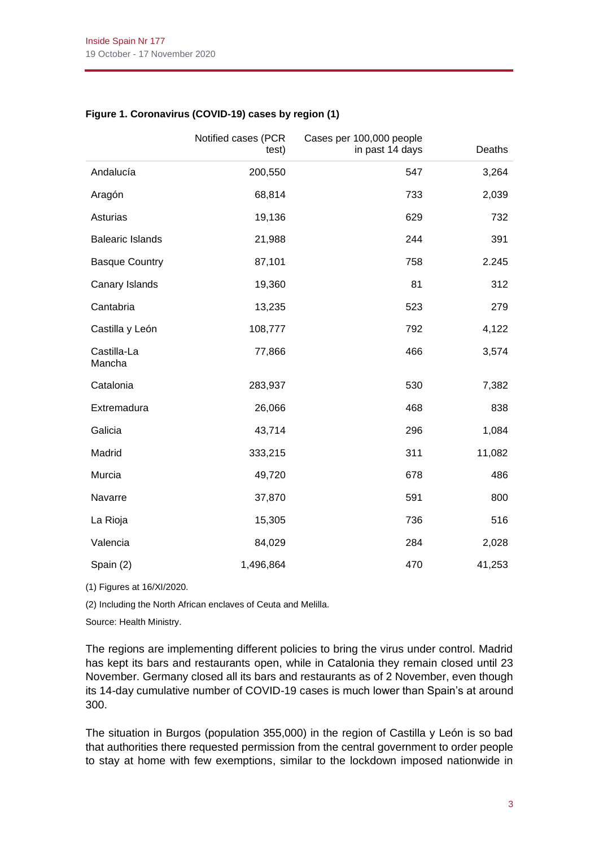|                         | Notified cases (PCR<br>test) | Cases per 100,000 people<br>in past 14 days | Deaths |
|-------------------------|------------------------------|---------------------------------------------|--------|
| Andalucía               | 200,550                      | 547                                         | 3,264  |
| Aragón                  | 68,814                       | 733                                         | 2,039  |
| Asturias                | 19,136                       | 629                                         | 732    |
| <b>Balearic Islands</b> | 21,988                       | 244                                         | 391    |
| <b>Basque Country</b>   | 87,101                       | 758                                         | 2.245  |
| Canary Islands          | 19,360                       | 81                                          | 312    |
| Cantabria               | 13,235                       | 523                                         | 279    |
| Castilla y León         | 108,777                      | 792                                         | 4,122  |
| Castilla-La<br>Mancha   | 77,866                       | 466                                         | 3,574  |
| Catalonia               | 283,937                      | 530                                         | 7,382  |
| Extremadura             | 26,066                       | 468                                         | 838    |
| Galicia                 | 43,714                       | 296                                         | 1,084  |
| Madrid                  | 333,215                      | 311                                         | 11,082 |
| Murcia                  | 49,720                       | 678                                         | 486    |
| Navarre                 | 37,870                       | 591                                         | 800    |
| La Rioja                | 15,305                       | 736                                         | 516    |
| Valencia                | 84,029                       | 284                                         | 2,028  |
| Spain (2)               | 1,496,864                    | 470                                         | 41,253 |

# **Figure 1. Coronavirus (COVID-19) cases by region (1)**

(1) Figures at 16/XI/2020.

(2) Including the North African enclaves of Ceuta and Melilla.

Source: Health Ministry.

The regions are implementing different policies to bring the virus under control. Madrid has kept its bars and restaurants open, while in Catalonia they remain closed until 23 November. Germany closed all its bars and restaurants as of 2 November, even though its 14-day cumulative number of COVID-19 cases is much lower than Spain's at around 300.

The situation in Burgos (population 355,000) in the region of Castilla y León is so bad that authorities there requested permission from the central government to order people to stay at home with few exemptions, similar to the lockdown imposed nationwide in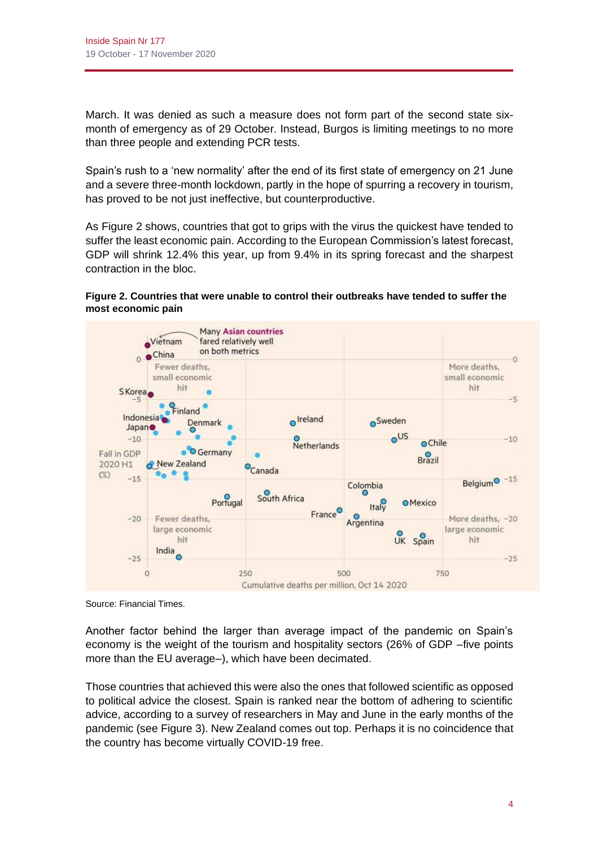March. It was denied as such a measure does not form part of the second state sixmonth of emergency as of 29 October. Instead, Burgos is limiting meetings to no more than three people and extending PCR tests.

Spain's rush to a 'new normality' after the end of its first state of emergency on 21 June and a severe three-month lockdown, partly in the hope of spurring a recovery in tourism, has proved to be not just ineffective, but counterproductive.

As Figure 2 shows, countries that got to grips with the virus the quickest have tended to suffer the least economic pain. According to the European Commission's latest forecast, GDP will shrink 12.4% this year, up from 9.4% in its spring forecast and the sharpest contraction in the bloc.

#### **Figure 2. Countries that were unable to control their outbreaks have tended to suffer the most economic pain**



Source: Financial Times.

Another factor behind the larger than average impact of the pandemic on Spain's economy is the weight of the tourism and hospitality sectors (26% of GDP –five points more than the EU average–), which have been decimated.

Those countries that achieved this were also the ones that followed scientific as opposed to political advice the closest. Spain is ranked near the bottom of adhering to scientific advice, according to a survey of researchers in May and June in the early months of the pandemic (see Figure 3). New Zealand comes out top. Perhaps it is no coincidence that the country has become virtually COVID-19 free.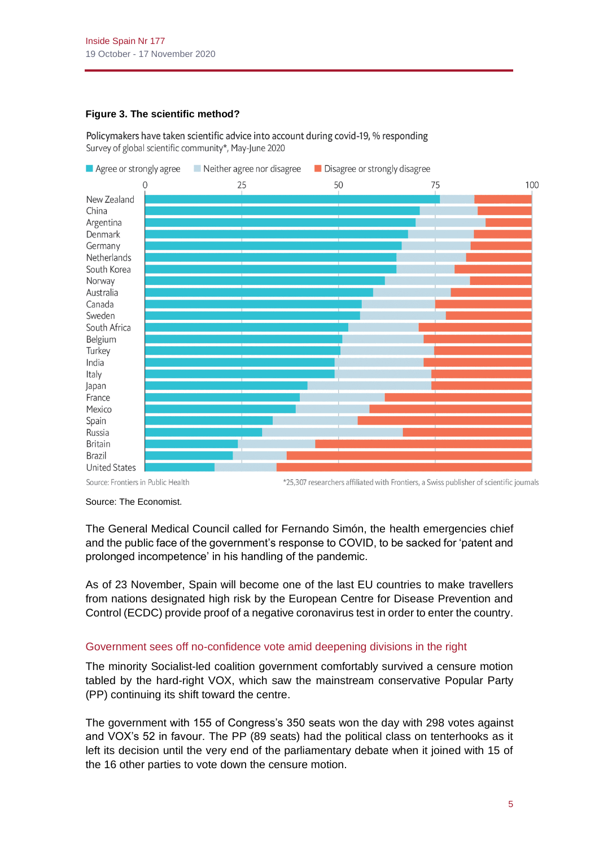### **Figure 3. The scientific method?**

Policymakers have taken scientific advice into account during covid-19, % responding Survey of global scientific community\*, May-June 2020



Source: Frontiers in Public Health

Source: The Economist.

The General Medical Council called for Fernando Simón, the health emergencies chief and the public face of the government's response to COVID, to be sacked for 'patent and prolonged incompetence' in his handling of the pandemic.

As of 23 November, Spain will become one of the last EU countries to make travellers from nations designated high risk by the European Centre for Disease Prevention and Control (ECDC) provide proof of a negative coronavirus test in order to enter the country.

# Government sees off no-confidence vote amid deepening divisions in the right

The minority Socialist-led coalition government comfortably survived a censure motion tabled by the hard-right VOX, which saw the mainstream conservative Popular Party (PP) continuing its shift toward the centre.

The government with 155 of Congress's 350 seats won the day with 298 votes against and VOX's 52 in favour. The PP (89 seats) had the political class on tenterhooks as it left its decision until the very end of the parliamentary debate when it joined with 15 of the 16 other parties to vote down the censure motion.

<sup>\*25,307</sup> researchers affiliated with Frontiers, a Swiss publisher of scientific journals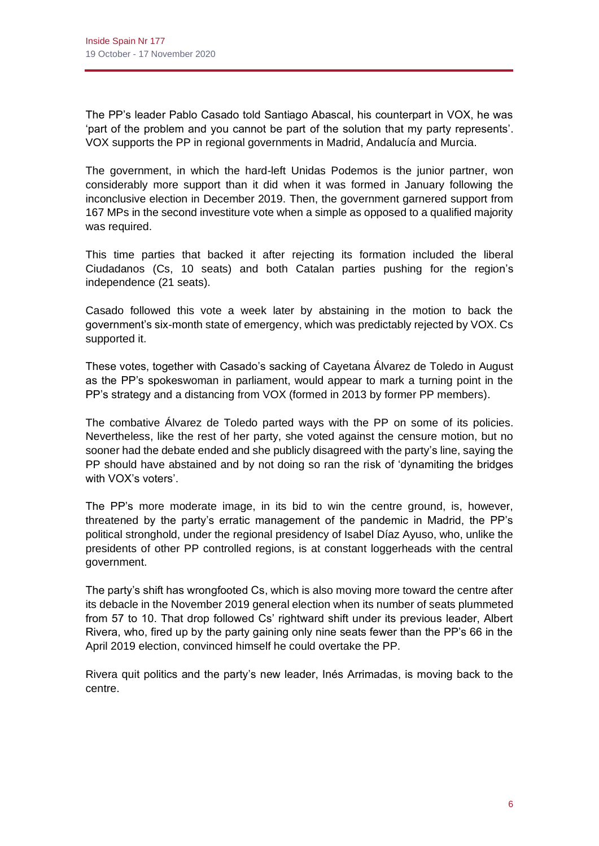The PP's leader Pablo Casado told Santiago Abascal, his counterpart in VOX, he was 'part of the problem and you cannot be part of the solution that my party represents'. VOX supports the PP in regional governments in Madrid, Andalucía and Murcia.

The government, in which the hard-left Unidas Podemos is the junior partner, won considerably more support than it did when it was formed in January following the inconclusive election in December 2019. Then, the government garnered support from 167 MPs in the second investiture vote when a simple as opposed to a qualified majority was required.

This time parties that backed it after rejecting its formation included the liberal Ciudadanos (Cs, 10 seats) and both Catalan parties pushing for the region's independence (21 seats).

Casado followed this vote a week later by abstaining in the motion to back the government's six-month state of emergency, which was predictably rejected by VOX. Cs supported it.

These votes, together with Casado's sacking of Cayetana Álvarez de Toledo in August as the PP's spokeswoman in parliament, would appear to mark a turning point in the PP's strategy and a distancing from VOX (formed in 2013 by former PP members).

The combative Álvarez de Toledo parted ways with the PP on some of its policies. Nevertheless, like the rest of her party, she voted against the censure motion, but no sooner had the debate ended and she publicly disagreed with the party's line, saying the PP should have abstained and by not doing so ran the risk of 'dynamiting the bridges with VOX's voters'.

The PP's more moderate image, in its bid to win the centre ground, is, however, threatened by the party's erratic management of the pandemic in Madrid, the PP's political stronghold, under the regional presidency of Isabel Díaz Ayuso, who, unlike the presidents of other PP controlled regions, is at constant loggerheads with the central government.

The party's shift has wrongfooted Cs, which is also moving more toward the centre after its debacle in the November 2019 general election when its number of seats plummeted from 57 to 10. That drop followed Cs' rightward shift under its previous leader, Albert Rivera, who, fired up by the party gaining only nine seats fewer than the PP's 66 in the April 2019 election, convinced himself he could overtake the PP.

Rivera quit politics and the party's new leader, Inés Arrimadas, is moving back to the centre.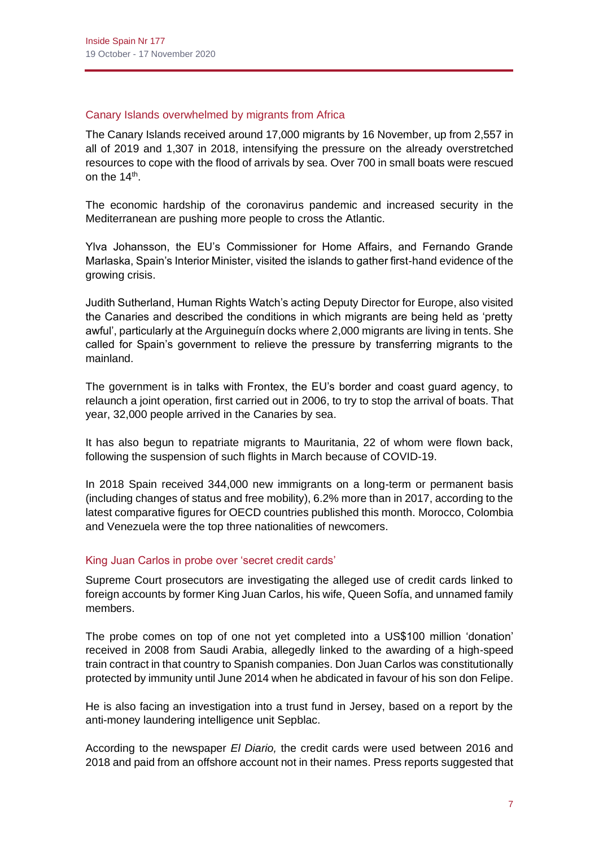### Canary Islands overwhelmed by migrants from Africa

The Canary Islands received around 17,000 migrants by 16 November, up from 2,557 in all of 2019 and 1,307 in 2018, intensifying the pressure on the already overstretched resources to cope with the flood of arrivals by sea. Over 700 in small boats were rescued on the 14<sup>th</sup>.

The economic hardship of the coronavirus pandemic and increased security in the Mediterranean are pushing more people to cross the Atlantic.

Ylva Johansson, the EU's Commissioner for Home Affairs, and Fernando Grande Marlaska, Spain's Interior Minister, visited the islands to gather first-hand evidence of the growing crisis.

Judith Sutherland, Human Rights Watch's acting Deputy Director for Europe, also visited the Canaries and described the conditions in which migrants are being held as 'pretty awful', particularly at the Arguineguín docks where 2,000 migrants are living in tents. She called for Spain's government to relieve the pressure by transferring migrants to the mainland.

The government is in talks with Frontex, the EU's border and coast guard agency, to relaunch a joint operation, first carried out in 2006, to try to stop the arrival of boats. That year, 32,000 people arrived in the Canaries by sea.

It has also begun to repatriate migrants to Mauritania, 22 of whom were flown back, following the suspension of such flights in March because of COVID-19.

In 2018 Spain received 344,000 new immigrants on a long-term or permanent basis (including changes of status and free mobility), 6.2% more than in 2017, according to the latest comparative figures for OECD countries published this month. Morocco, Colombia and Venezuela were the top three nationalities of newcomers.

# King Juan Carlos in probe over 'secret credit cards'

Supreme Court prosecutors are investigating the alleged use of credit cards linked to foreign accounts by former King Juan Carlos, his wife, Queen Sofía, and unnamed family members.

The probe comes on top of one not yet completed into a US\$100 million 'donation' received in 2008 from Saudi Arabia, allegedly linked to the awarding of a high-speed train contract in that country to Spanish companies. Don Juan Carlos was constitutionally protected by immunity until June 2014 when he abdicated in favour of his son don Felipe.

He is also facing an investigation into a trust fund in Jersey, based on a report by the anti-money laundering intelligence unit Sepblac.

According to the newspaper *El Diario,* the credit cards were used between 2016 and 2018 and paid from an offshore account not in their names. Press reports suggested that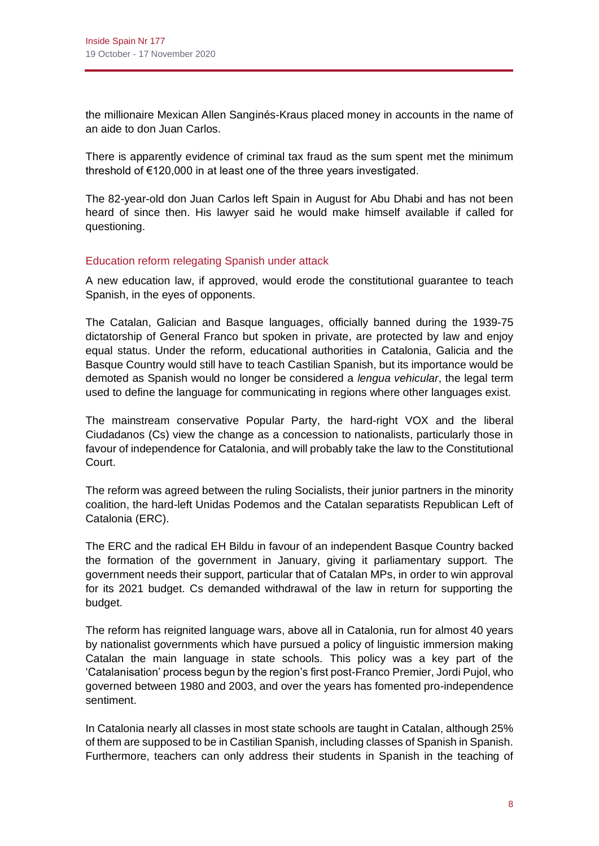the millionaire Mexican Allen Sanginés-Kraus placed money in accounts in the name of an aide to don Juan Carlos.

There is apparently evidence of criminal tax fraud as the sum spent met the minimum threshold of €120,000 in at least one of the three years investigated.

The 82-year-old don Juan Carlos left Spain in August for Abu Dhabi and has not been heard of since then. His lawyer said he would make himself available if called for questioning.

#### Education reform relegating Spanish under attack

A new education law, if approved, would erode the constitutional guarantee to teach Spanish, in the eyes of opponents.

The Catalan, Galician and Basque languages, officially banned during the 1939-75 dictatorship of General Franco but spoken in private, are protected by law and enjoy equal status. Under the reform, educational authorities in Catalonia, Galicia and the Basque Country would still have to teach Castilian Spanish, but its importance would be demoted as Spanish would no longer be considered a *lengua vehicular*, the legal term used to define the language for communicating in regions where other languages exist.

The mainstream conservative Popular Party, the hard-right VOX and the liberal Ciudadanos (Cs) view the change as a concession to nationalists, particularly those in favour of independence for Catalonia, and will probably take the law to the Constitutional Court.

The reform was agreed between the ruling Socialists, their junior partners in the minority coalition, the hard-left Unidas Podemos and the Catalan separatists Republican Left of Catalonia (ERC).

The ERC and the radical EH Bildu in favour of an independent Basque Country backed the formation of the government in January, giving it parliamentary support. The government needs their support, particular that of Catalan MPs, in order to win approval for its 2021 budget. Cs demanded withdrawal of the law in return for supporting the budget.

The reform has reignited language wars, above all in Catalonia, run for almost 40 years by nationalist governments which have pursued a policy of linguistic immersion making Catalan the main language in state schools. This policy was a key part of the 'Catalanisation' process begun by the region's first post-Franco Premier, Jordi Pujol, who governed between 1980 and 2003, and over the years has fomented pro-independence sentiment.

In Catalonia nearly all classes in most state schools are taught in Catalan, although 25% of them are supposed to be in Castilian Spanish, including classes of Spanish in Spanish. Furthermore, teachers can only address their students in Spanish in the teaching of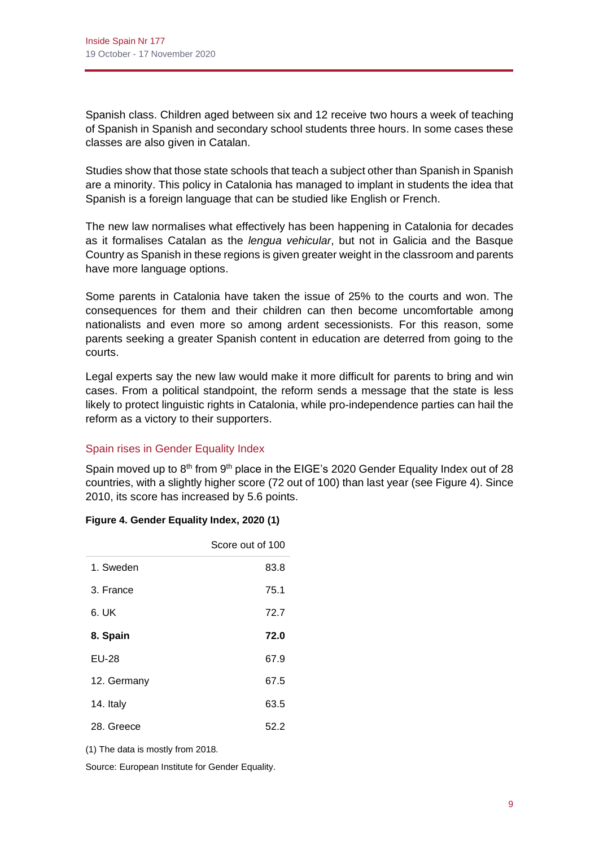Spanish class. Children aged between six and 12 receive two hours a week of teaching of Spanish in Spanish and secondary school students three hours. In some cases these classes are also given in Catalan.

Studies show that those state schools that teach a subject other than Spanish in Spanish are a minority. This policy in Catalonia has managed to implant in students the idea that Spanish is a foreign language that can be studied like English or French.

The new law normalises what effectively has been happening in Catalonia for decades as it formalises Catalan as the *lengua vehicular*, but not in Galicia and the Basque Country as Spanish in these regions is given greater weight in the classroom and parents have more language options.

Some parents in Catalonia have taken the issue of 25% to the courts and won. The consequences for them and their children can then become uncomfortable among nationalists and even more so among ardent secessionists. For this reason, some parents seeking a greater Spanish content in education are deterred from going to the courts.

Legal experts say the new law would make it more difficult for parents to bring and win cases. From a political standpoint, the reform sends a message that the state is less likely to protect linguistic rights in Catalonia, while pro-independence parties can hail the reform as a victory to their supporters.

# Spain rises in Gender Equality Index

Spain moved up to  $8<sup>th</sup>$  from  $9<sup>th</sup>$  place in the EIGE's 2020 Gender Equality Index out of 28 countries, with a slightly higher score (72 out of 100) than last year (see Figure 4). Since 2010, its score has increased by 5.6 points.

# **Figure 4. Gender Equality Index, 2020 (1)**

|              | Score out of 100 |
|--------------|------------------|
| 1. Sweden    | 83.8             |
| 3. France    | 75.1             |
| 6. UK        | 72.7             |
| 8. Spain     | 72.0             |
| <b>EU-28</b> | 67.9             |
| 12. Germany  | 67.5             |
| 14. Italy    | 63.5             |
| 28. Greece   | 52.2             |

(1) The data is mostly from 2018.

Source: European Institute for Gender Equality.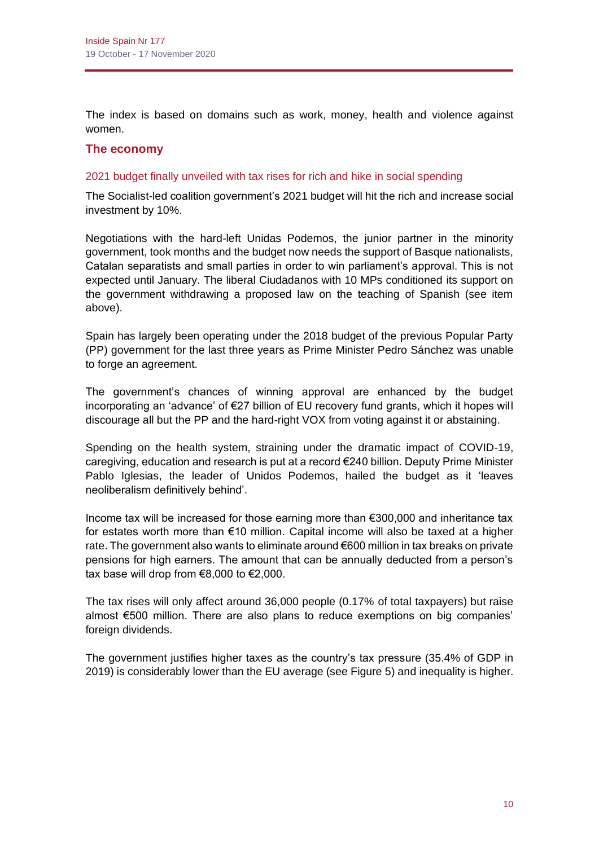The index is based on domains such as work, money, health and violence against women.

# **The economy**

#### 2021 budget finally unveiled with tax rises for rich and hike in social spending

The Socialist-led coalition government's 2021 budget will hit the rich and increase social investment by 10%.

Negotiations with the hard-left Unidas Podemos, the junior partner in the minority government, took months and the budget now needs the support of Basque nationalists, Catalan separatists and small parties in order to win parliament's approval. This is not expected until January. The liberal Ciudadanos with 10 MPs conditioned its support on the government withdrawing a proposed law on the teaching of Spanish (see item above).

Spain has largely been operating under the 2018 budget of the previous Popular Party (PP) government for the last three years as Prime Minister Pedro Sánchez was unable to forge an agreement.

The government's chances of winning approval are enhanced by the budget incorporating an 'advance' of €27 billion of EU recovery fund grants, which it hopes will discourage all but the PP and the hard-right VOX from voting against it or abstaining.

Spending on the health system, straining under the dramatic impact of COVID-19, caregiving, education and research is put at a record €240 billion. Deputy Prime Minister Pablo Iglesias, the leader of Unidos Podemos, hailed the budget as it 'leaves neoliberalism definitively behind'.

Income tax will be increased for those earning more than €300,000 and inheritance tax for estates worth more than €10 million. Capital income will also be taxed at a higher rate. The government also wants to eliminate around €600 million in tax breaks on private pensions for high earners. The amount that can be annually deducted from a person's tax base will drop from €8,000 to €2,000.

The tax rises will only affect around 36,000 people (0.17% of total taxpayers) but raise almost €500 million. There are also plans to reduce exemptions on big companies' foreign dividends.

The government justifies higher taxes as the country's tax pressure (35.4% of GDP in 2019) is considerably lower than the EU average (see Figure 5) and inequality is higher.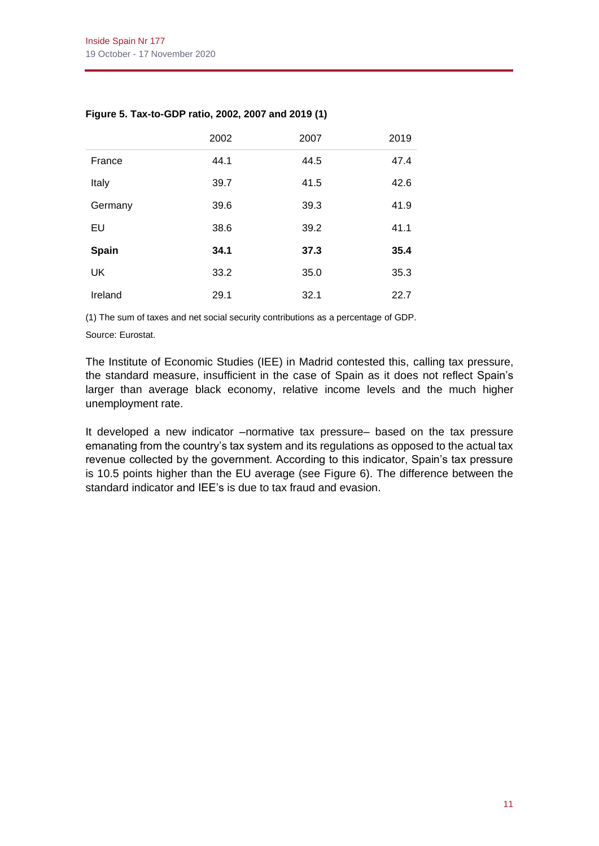|              | 2002 | 2007 | 2019 |
|--------------|------|------|------|
| France       | 44.1 | 44.5 | 47.4 |
| Italy        | 39.7 | 41.5 | 42.6 |
| Germany      | 39.6 | 39.3 | 41.9 |
| EU           | 38.6 | 39.2 | 41.1 |
| <b>Spain</b> | 34.1 | 37.3 | 35.4 |
| <b>UK</b>    | 33.2 | 35.0 | 35.3 |
| Ireland      | 29.1 | 32.1 | 22.7 |

# **Figure 5. Tax-to-GDP ratio, 2002, 2007 and 2019 (1)**

(1) The sum of taxes and net social security contributions as a percentage of GDP.

Source: Eurostat.

The Institute of Economic Studies (IEE) in Madrid contested this, calling tax pressure, the standard measure, insufficient in the case of Spain as it does not reflect Spain's larger than average black economy, relative income levels and the much higher unemployment rate.

It developed a new indicator –normative tax pressure– based on the tax pressure emanating from the country's tax system and its regulations as opposed to the actual tax revenue collected by the government. According to this indicator, Spain's tax pressure is 10.5 points higher than the EU average (see Figure 6). The difference between the standard indicator and IEE's is due to tax fraud and evasion.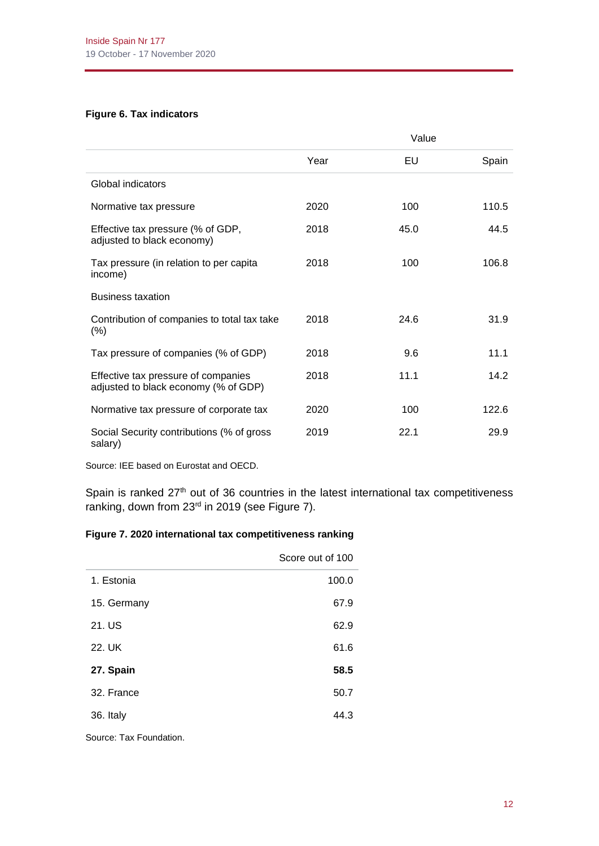#### **Figure 6. Tax indicators**

|                                                                             |      | Value |       |
|-----------------------------------------------------------------------------|------|-------|-------|
|                                                                             | Year | EU    | Spain |
| Global indicators                                                           |      |       |       |
| Normative tax pressure                                                      | 2020 | 100   | 110.5 |
| Effective tax pressure (% of GDP,<br>adjusted to black economy)             | 2018 | 45.0  | 44.5  |
| Tax pressure (in relation to per capita<br>income)                          | 2018 | 100   | 106.8 |
| <b>Business taxation</b>                                                    |      |       |       |
| Contribution of companies to total tax take<br>(% )                         | 2018 | 24.6  | 31.9  |
| Tax pressure of companies (% of GDP)                                        | 2018 | 9.6   | 11.1  |
| Effective tax pressure of companies<br>adjusted to black economy (% of GDP) | 2018 | 11.1  | 14.2  |
| Normative tax pressure of corporate tax                                     | 2020 | 100   | 122.6 |
| Social Security contributions (% of gross<br>salary)                        | 2019 | 22.1  | 29.9  |

Source: IEE based on Eurostat and OECD.

Spain is ranked  $27<sup>th</sup>$  out of 36 countries in the latest international tax competitiveness ranking, down from 23<sup>rd</sup> in 2019 (see Figure 7).

### **Figure 7. 2020 international tax competitiveness ranking**

|                         | Score out of 100 |
|-------------------------|------------------|
| 1. Estonia              | 100.0            |
| 15. Germany             | 67.9             |
| 21. US                  | 62.9             |
| 22. UK                  | 61.6             |
| 27. Spain               | 58.5             |
| 32. France              | 50.7             |
| 36. Italy               | 44.3             |
| Source: Tax Foundation. |                  |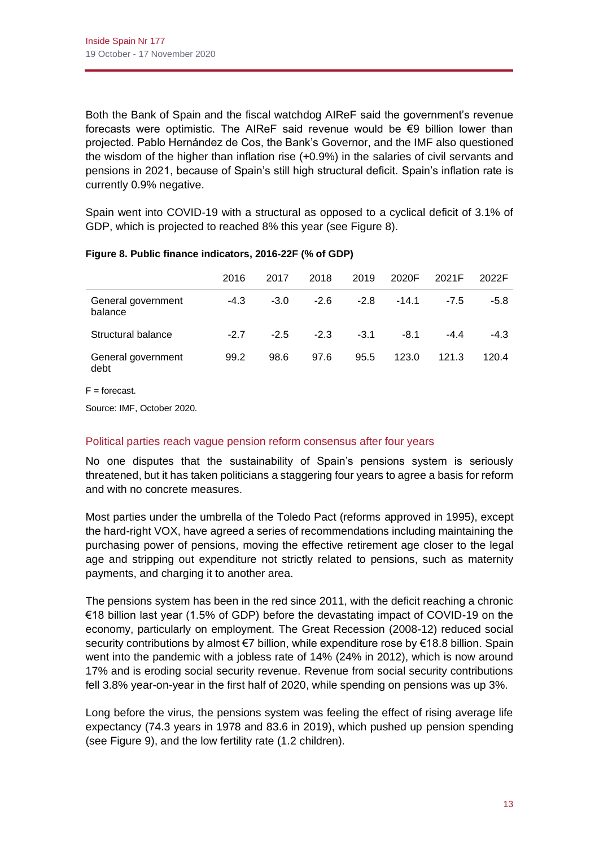Both the Bank of Spain and the fiscal watchdog AIReF said the government's revenue forecasts were optimistic. The AIReF said revenue would be  $\epsilon$ 9 billion lower than projected. Pablo Hernández de Cos, the Bank's Governor, and the IMF also questioned the wisdom of the higher than inflation rise (+0.9%) in the salaries of civil servants and pensions in 2021, because of Spain's still high structural deficit. Spain's inflation rate is currently 0.9% negative.

Spain went into COVID-19 with a structural as opposed to a cyclical deficit of 3.1% of GDP, which is projected to reached 8% this year (see Figure 8).

|                               | 2016   | 2017   | 2018   | 2019   | 2020F   | 2021F  | 2022F  |
|-------------------------------|--------|--------|--------|--------|---------|--------|--------|
| General government<br>balance | $-4.3$ | $-3.0$ | $-2.6$ | $-2.8$ | $-14.1$ | $-7.5$ | -5.8   |
| Structural balance            | -27    | $-2.5$ | $-2.3$ | $-3.1$ | $-8.1$  | -44    | $-4.3$ |
| General government<br>debt    | 99.2   | 98.6   | 97.6   | 95.5   | 123.0   | 121.3  | 120.4  |

# **Figure 8. Public finance indicators, 2016-22F (% of GDP)**

 $F =$  forecast.

Source: IMF, October 2020.

# Political parties reach vague pension reform consensus after four years

No one disputes that the sustainability of Spain's pensions system is seriously threatened, but it has taken politicians a staggering four years to agree a basis for reform and with no concrete measures.

Most parties under the umbrella of the Toledo Pact (reforms approved in 1995), except the hard-right VOX, have agreed a series of recommendations including maintaining the purchasing power of pensions, moving the effective retirement age closer to the legal age and stripping out expenditure not strictly related to pensions, such as maternity payments, and charging it to another area.

The pensions system has been in the red since 2011, with the deficit reaching a chronic €18 billion last year (1.5% of GDP) before the devastating impact of COVID-19 on the economy, particularly on employment. The Great Recession (2008-12) reduced social security contributions by almost €7 billion, while expenditure rose by €18.8 billion. Spain went into the pandemic with a jobless rate of 14% (24% in 2012), which is now around 17% and is eroding social security revenue. Revenue from social security contributions fell 3.8% year-on-year in the first half of 2020, while spending on pensions was up 3%.

Long before the virus, the pensions system was feeling the effect of rising average life expectancy (74.3 years in 1978 and 83.6 in 2019), which pushed up pension spending (see Figure 9), and the low fertility rate (1.2 children).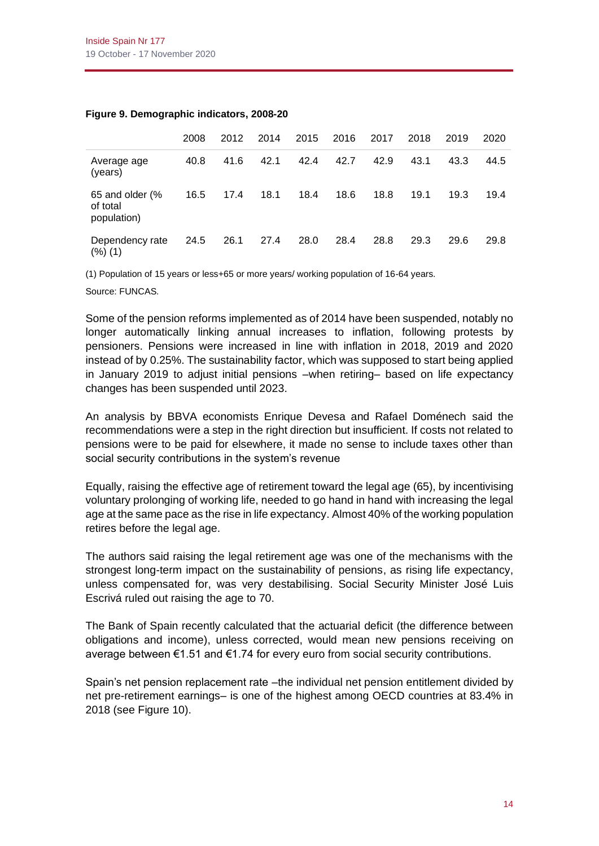|                                            | 2008 | 2012 | 2014 | 2015 | 2016 | 2017 | 2018 | 2019 | 2020 |
|--------------------------------------------|------|------|------|------|------|------|------|------|------|
| Average age<br>(years)                     | 40.8 | 41.6 | 42.1 | 42.4 | 42.7 | 42.9 | 43.1 | 43.3 | 44.5 |
| 65 and older (%<br>of total<br>population) | 16.5 | 17.4 | 18.1 | 18.4 | 18.6 | 18.8 | 19.1 | 19.3 | 19.4 |
| Dependency rate<br>(%) (1)                 | 24.5 | 26.1 | 27.4 | 28.0 | 28.4 | 28.8 | 29.3 | 29.6 | 29.8 |

#### **Figure 9. Demographic indicators, 2008-20**

(1) Population of 15 years or less+65 or more years/ working population of 16-64 years.

Source: FUNCAS.

Some of the pension reforms implemented as of 2014 have been suspended, notably no longer automatically linking annual increases to inflation, following protests by pensioners. Pensions were increased in line with inflation in 2018, 2019 and 2020 instead of by 0.25%. The sustainability factor, which was supposed to start being applied in January 2019 to adjust initial pensions –when retiring– based on life expectancy changes has been suspended until 2023.

An analysis by BBVA economists Enrique Devesa and Rafael Doménech said the recommendations were a step in the right direction but insufficient. If costs not related to pensions were to be paid for elsewhere, it made no sense to include taxes other than social security contributions in the system's revenue

Equally, raising the effective age of retirement toward the legal age (65), by incentivising voluntary prolonging of working life, needed to go hand in hand with increasing the legal age at the same pace as the rise in life expectancy. Almost 40% of the working population retires before the legal age.

The authors said raising the legal retirement age was one of the mechanisms with the strongest long-term impact on the sustainability of pensions, as rising life expectancy, unless compensated for, was very destabilising. Social Security Minister José Luis Escrivá ruled out raising the age to 70.

The Bank of Spain recently calculated that the actuarial deficit (the difference between obligations and income), unless corrected, would mean new pensions receiving on average between €1.51 and €1.74 for every euro from social security contributions.

Spain's net pension replacement rate –the individual net pension entitlement divided by net pre-retirement earnings– is one of the highest among OECD countries at 83.4% in 2018 (see Figure 10).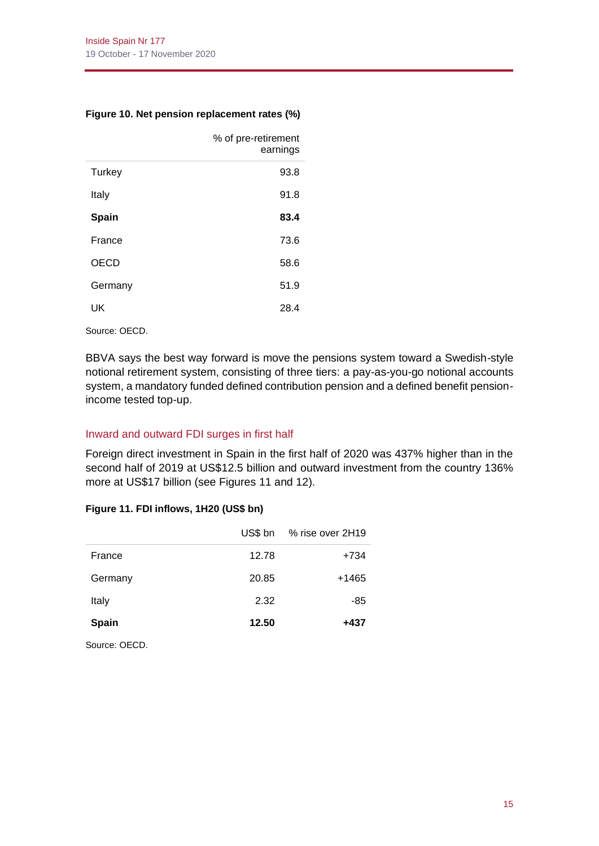#### **Figure 10. Net pension replacement rates (%)**

|             | % of pre-retirement<br>earnings |
|-------------|---------------------------------|
| Turkey      | 93.8                            |
| Italy       | 91.8                            |
| Spain       | 83.4                            |
| France      | 73.6                            |
| <b>OECD</b> | 58.6                            |
| Germany     | 51.9                            |
| UK          | 28.4                            |

Source: OECD.

BBVA says the best way forward is move the pensions system toward a Swedish-style notional retirement system, consisting of three tiers: a pay-as-you-go notional accounts system, a mandatory funded defined contribution pension and a defined benefit pensionincome tested top-up.

# Inward and outward FDI surges in first half

Foreign direct investment in Spain in the first half of 2020 was 437% higher than in the second half of 2019 at US\$12.5 billion and outward investment from the country 136% more at US\$17 billion (see Figures 11 and 12).

#### **Figure 11. FDI inflows, 1H20 (US\$ bn)**

|              | US\$ bn | % rise over 2H19 |
|--------------|---------|------------------|
| France       | 12.78   | +734             |
| Germany      | 20.85   | +1465            |
| Italy        | 2.32    | -85              |
| <b>Spain</b> | 12.50   | +437             |
|              |         |                  |

Source: OECD.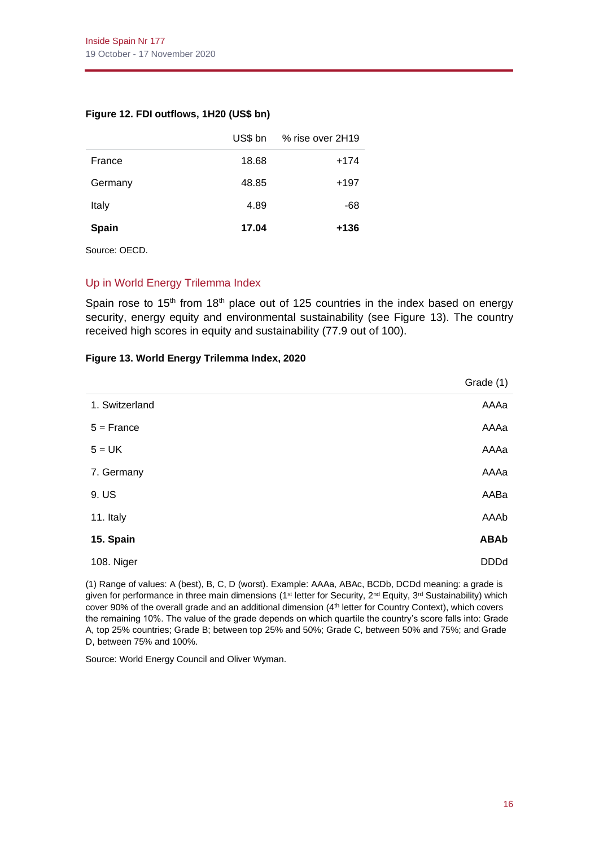#### **Figure 12. FDI outflows, 1H20 (US\$ bn)**

|         | US\$ bn | % rise over 2H19 |
|---------|---------|------------------|
| France  | 18.68   | $+174$           |
| Germany | 48.85   | $+197$           |
| Italy   | 4.89    | -68              |
| Spain   | 17.04   | +136             |

Source: OECD.

# Up in World Energy Trilemma Index

Spain rose to 15<sup>th</sup> from 18<sup>th</sup> place out of 125 countries in the index based on energy security, energy equity and environmental sustainability (see Figure 13). The country received high scores in equity and sustainability (77.9 out of 100).

#### **Figure 13. World Energy Trilemma Index, 2020**

|                | Grade (1)   |
|----------------|-------------|
| 1. Switzerland | AAAa        |
| $5 =$ France   | AAAa        |
| $5 = UK$       | AAAa        |
| 7. Germany     | AAAa        |
| 9. US          | AABa        |
| 11. Italy      | AAAb        |
| 15. Spain      | <b>ABAb</b> |
| 108. Niger     | <b>DDDd</b> |

(1) Range of values: A (best), B, C, D (worst). Example: AAAa, ABAc, BCDb, DCDd meaning: a grade is given for performance in three main dimensions (1<sup>st</sup> letter for Security, 2<sup>nd</sup> Equity, 3<sup>rd</sup> Sustainability) which cover 90% of the overall grade and an additional dimension (4<sup>th</sup> letter for Country Context), which covers the remaining 10%. The value of the grade depends on which quartile the country's score falls into: Grade A, top 25% countries; Grade B; between top 25% and 50%; Grade C, between 50% and 75%; and Grade D, between 75% and 100%.

Source: World Energy Council and Oliver Wyman.